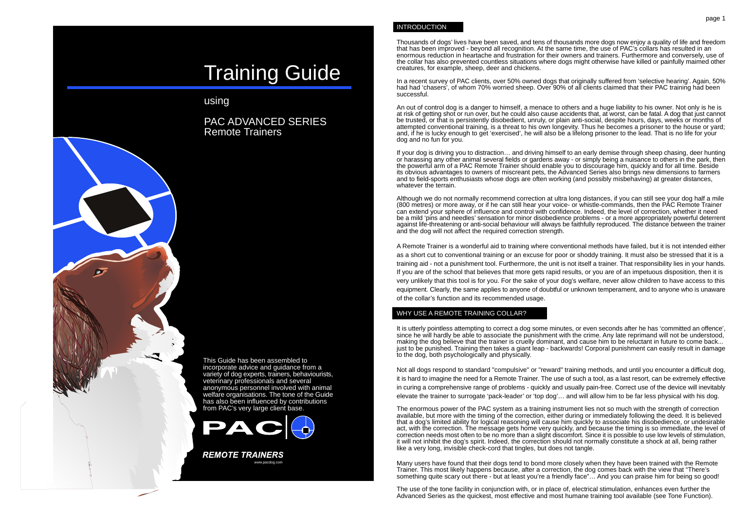# Training Guide

# using

PAC ADVANCED SERIES Remote Trainers

This Guide has been assembled to incorporate advice and guidance from a variety of dog experts, trainers, behaviourists, veterinary professionals and several anonymous personnel involved with animal welfare organisations. The tone of the Guide has also been influenced by contributions from PAC's very large client base.



**REMOTE TRAINERS** www.pacdog.com

#### INTRODUCTION

Thousands of dogs' lives have been saved, and tens of thousands more dogs now enjoy a quality of life and freedom that has been improved - beyond all recognition. At the same time, the use of PAC's collars has resulted in an enormous reduction in heartache and frustration for their owners and trainers. Furthermore and conversely, use of the collar has also prevented countless situations where dogs might otherwise have killed or painfully maimed other creatures, for example, sheep, deer and chickens.

In a recent survey of PAC clients, over 50% owned dogs that originally suffered from 'selective hearing'. Again, 50% had had 'chasers', of whom 70% worried sheep. Over 90% of all clients claimed that their PAC training had been successful.

An out of control dog is a danger to himself, a menace to others and a huge liability to his owner. Not only is he is at risk of getting shot or run over, but he could also cause accidents that, at worst, can be fatal. A dog that just cannot be trusted, or that is persistently disobedient, unruly, or plain anti-social, despite hours, days, weeks or months of attempted conventional training, is a threat to his own longevity. Thus he becomes a prisoner to the house or yard; and, if he is lucky enough to get 'exercised', he will also be a lifelong prisoner to the lead. That is no life for your dog and no fun for you.

If your dog is driving you to distraction… and driving himself to an early demise through sheep chasing, deer hunting or harassing any other animal several fields or gardens away - or simply being a nuisance to others in the park, then the powerful arm of a PAC Remote Trainer should enable you to discourage him, quickly and for all time. Beside its obvious advantages to owners of miscreant pets, the Advanced Series also brings new dimensions to farmers and to field-sports enthusiasts whose dogs are often working (and possibly misbehaving) at greater distances, whatever the terrain

Although we do not normally recommend correction at ultra long distances, if you can still see your dog half a mile (800 metres) or more away, or if he can still hear your voice- or whistle-commands, then the PAC Remote Trainer can extend your sphere of influence and control with confidence. Indeed, the level of correction, whether it need be a mild 'pins and needles' sensation for minor disobedience problems - or a more appropriately powerful deterrent against life-threatening or anti-social behaviour will always be faithfully reproduced. The distance between the trainer and the dog will not affect the required correction strength.

A Remote Trainer is a wonderful aid to training where conventional methods have failed, but it is not intended either as a short cut to conventional training or an excuse for poor or shoddy training. It must also be stressed that it is a training aid - not a punishment tool. Furthermore, the unit is not itself a trainer. That responsibility lies in your hands. If you are of the school that believes that more gets rapid results, or you are of an impetuous disposition, then it is very unlikely that this tool is for you. For the sake of your dog's welfare, never allow children to have access to this equipment. Clearly, the same applies to anyone of doubtful or unknown temperament, and to anyone who is unaware of the collar's function and its recommended usage.

## WHY USE A REMOTE TRAINING COLLAR?

It is utterly pointless attempting to correct a dog some minutes, or even seconds after he has 'committed an offence', since he will hardly be able to associate the punishment with the crime. Any late reprimand will not be understood, making the dog believe that the trainer is cruelly dominant, and cause him to be reluctant in future to come back... just to be punished. Training then takes a giant leap - backwards! Corporal punishment can easily result in damage to the dog, both psychologically and physically.

Not all dogs respond to standard "compulsive" or "reward" training methods, and until you encounter a difficult dog, it is hard to imagine the need for a Remote Trainer. The use of such a tool, as a last resort, can be extremely effective in curing a comprehensive range of problems - quickly and usually pain-free. Correct use of the device will inevitably elevate the trainer to surrogate 'pack-leader' or 'top dog'… and will allow him to be far less physical with his dog.

The enormous power of the PAC system as a training instrument lies not so much with the strength of correction available, but more with the timing of the correction, either during or immediately following the deed. It is believed that a dog's limited ability for logical reasoning will cause him quickly to associate his disobedience, or undesirable act, with the correction. The message gets home very quickly, and because the timing is so immediate, the level of correction needs most often to be no more than a slight discomfort. Since it is possible to use low levels of stimulation, it will not inhibit the dog's spirit. Indeed, the correction should not normally constitute a shock at all, being rather like a very long, invisible check-cord that tingles, but does not tangle.

Many users have found that their dogs tend to bond more closely when they have been trained with the Remote Trainer. This most likely happens because, after a correction, the dog comes back with the view that "There's something quite scary out there - but at least you're a friendly face"... And you can praise him for being so good!

The use of the tone facility in conjunction with, or in place of, electrical stimulation, enhances even further the Advanced Series as the quickest, most effective and most humane training tool available (see Tone Function).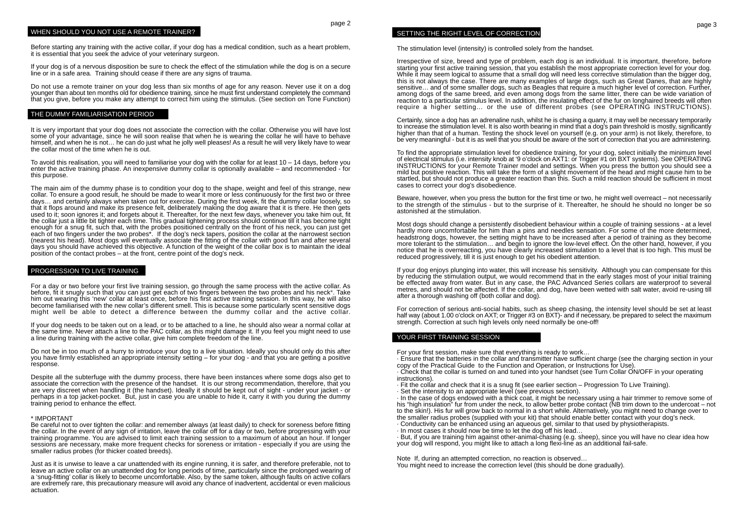#### WHEN SHOULD YOU NOT USE A REMOTE TRAINER?

Before starting any training with the active collar, if your dog has a medical condition, such as a heart problem, it is essential that you seek the advice of your veterinary surgeon.

If your dog is of a nervous disposition be sure to check the effect of the stimulation while the dog is on a secure line or in a safe area. Training should cease if there are any signs of trauma.

Do not use a remote trainer on your dog less than six months of age for any reason. Never use it on a dog younger than about ten months old for obedience training, since he must first understand completely the command that you give, before you make any attempt to correct him using the stimulus. (See section on Tone Function)

#### THE DUMMY FAMILIARISATION PERIOD

It is very important that your dog does not associate the correction with the collar. Otherwise you will have lost some of your advantage, since he will soon realise that when he is wearing the collar he will have to behave himself, and when he is not… he can do just what he jolly well pleases! As a result he will very likely have to wear the collar most of the time when he is out.

To avoid this realisation, you will need to familiarise your dog with the collar for at least 10 – 14 days, before you enter the active training phase. An inexpensive dummy collar is optionally available – and recommended - for this purpose.

The main aim of the dummy phase is to condition your dog to the shape, weight and feel of this strange, new collar. To ensure a good result, he should be made to wear it more or less continuously for the first two or three days… and certainly always when taken out for exercise. During the first week, fit the dummy collar loosely, so that it flops around and make its presence felt, deliberately making the dog aware that it is there. He then gets used to it; soon ignores it; and forgets about it. Thereafter, for the next few days, whenever you take him out, fit the collar just a little bit tighter each time. This gradual tightening process should continue till it has become tight enough for a snug fit, such that, with the probes positioned centrally on the front of his neck, you can just get each of two fingers under the two probes\*. If the dog's neck tapers, position the collar at the narrowest section (nearest his head). Most dogs will eventually associate the fitting of the collar with good fun and after several days you should have achieved this objective. A function of the weight of the collar box is to maintain the ideal position of the contact probes – at the front, centre point of the dog's neck.

#### PROGRESSION TO LIVE TRAINING

For a day or two before your first live training session, go through the same process with the active collar. As before, fit it snugly such that you can just get each of two fingers between the two probes and his neck\*. Take him out wearing this 'new' collar at least once, before his first active training session. In this way, he will also become familiarised with the new collar's different smell. This is because some particularly scent sensitive dogs might well be able to detect a difference between the dummy collar and the active collar.

If your dog needs to be taken out on a lead, or to be attached to a line, he should also wear a normal collar at the same time. Never attach a line to the PAC collar, as this might damage it. If you feel you might need to use a line during training with the active collar, give him complete freedom of the line.

Do not be in too much of a hurry to introduce your dog to a live situation. Ideally you should only do this after you have firmly established an appropriate intensity setting – for your dog - and that you are getting a positive response.

Despite all the subterfuge with the dummy process, there have been instances where some dogs also get to associate the correction with the presence of the handset. It is our strong recommendation, therefore, that you are very discreet when handling it (the handset). Ideally it should be kept out of sight - under your jacket - or perhaps in a top jacket-pocket. But, just in case you are unable to hide it, carry it with you during the dummy training period to enhance the effect.

#### \* IMPORTANT

Be careful not to over tighten the collar: and remember always (at least daily) to check for soreness before fitting the collar. In the event of any sign of irritation, leave the collar off for a day or two, before progressing with your training programme. You are advised to limit each training session to a maximum of about an hour. If longer sessions are necessary, make more frequent checks for soreness or irritation - especially if you are using the smaller radius probes (for thicker coated breeds).

Just as it is unwise to leave a car unattended with its engine running, it is safer, and therefore preferable, not to leave an active collar on an unattended dog for long periods of time, particularly since the prolonged wearing of a 'snug-fitting' collar is likely to become uncomfortable. Also, by the same token, although faults on active collars are extremely rare, this precautionary measure will avoid any chance of inadvertent, accidental or even malicious actuation.

#### SETTING THE RIGHT LEVEL OF CORRECTION

The stimulation level (intensity) is controlled solely from the handset.

Irrespective of size, breed and type of problem, each dog is an individual. It is important, therefore, before starting your first active training session, that you establish the most appropriate correction level for your dog. While it may seem logical to assume that a small dog will need less corrective stimulation than the bigger dog, this is not always the case. There are many examples of large dogs, such as Great Danes, that are highly sensitive... and of some smaller dogs, such as Beagles that require a much higher level of correction. Further, among dogs of the same breed, and even among dogs from the same litter, there can be wide variation of reaction to a particular stimulus level. In addition, the insulating effect of the fur on longhaired breeds will often require a higher setting… or the use of different probes (see OPERATING INSTRUCTIONS).

Certainly, since a dog has an adrenaline rush, whilst he is chasing a quarry, it may well be necessary temporarily to increase the stimulation level. It is also worth bearing in mind that a dog's pain threshold is mostly, significantly higher than that of a human. Testing the shock level on yourself (e.g. on your arm) is not likely, therefore, to be very meaningful - but it is as well that you should be aware of the sort of correction that you are administering.

To find the appropriate stimulation level for obedience training, for your dog, select initially the minimum level of electrical stimulus (i.e. intensity knob at '9 o'clock on AXT1: or Trigger #1 on BXT systems). See OPERATING INSTRUCTIONS for your Remote Trainer model and settings. When you press the button you should see a mild but positive reaction. This will take the form of a slight movement of the head and might cause him to be startled, but should not produce a greater reaction than this. Such a mild reaction should be sufficient in most cases to correct your dog's disobedience.

Beware, however, when you press the button for the first time or two, he might well overreact – not necessarily to the strength of the stimulus - but to the surprise of it. Thereafter, he should he should no longer be so astonished at the stimulation.

Most dogs should change a persistently disobedient behaviour within a couple of training sessions - at a level hardly more uncomfortable for him than a pins and needles sensation. For some of the more determined, headstrong dogs, however, the setting might have to be increased after a period of training as they become more tolerant to the stimulation… and begin to ignore the low-level effect. On the other hand, however, if you notice that he is overreacting, you have clearly increased stimulation to a level that is too high. This must be reduced progressively, till it is just enough to get his obedient attention.

If your dog enjoys plunging into water, this will increase his sensitivity. Although you can compensate for this by reducing the stimulation output, we would recommend that in the early stages most of your initial training be effected away from water. But in any case, the PAC Advanced Series collars are waterproof to several metres, and should not be affected. If the collar, and dog, have been wetted with salt water, avoid re-using till after a thorough washing off (both collar and dog).

For correction of serious anti-social habits, such as sheep chasing, the intensity level should be set at least half way (about 1.00 o'clock on AXT; or Trigger #3 on BXT)- and if necessary, be prepared to select the maximum strength. Correction at such high levels only need normally be one-off!

#### YOUR FIRST TRAINING SESSION

For your first session, make sure that everything is ready to work…

· Ensure that the batteries in the collar and transmitter have sufficient charge (see the charging section in your copy of the Practical Guide to the Function and Operation, or Instructions for Use).

· Check that the collar is turned on and tuned into your handset (see Turn Collar ON/OFF in your operating instructions).

· Fit the collar and check that it is a snug fit (see earlier section – Progression To Live Training).

· Set the intensity to an appropriate level (see previous section).

· In the case of dogs endowed with a thick coat, it might be necessary using a hair trimmer to remove some of his "high insulation" fur from under the neck, to allow better probe contact (NB trim down to the undercoat – not to the skin!). His fur will grow back to normal in a short while. Alternatively, you might need to change over to the smaller radius probes (supplied with your kit) that should enable better contact with your dog's neck.

· Conductivity can be enhanced using an aqueous gel, similar to that used by physiotherapists.

· In most cases it should now be time to let the dog off his lead…

· But, if you are training him against other-animal-chasing (e.g. sheep), since you will have no clear idea how your dog will respond, you might like to attach a long flexi-line as an additional fail-safe.

Note If, during an attempted correction, no reaction is observed… You might need to increase the correction level (this should be done gradually).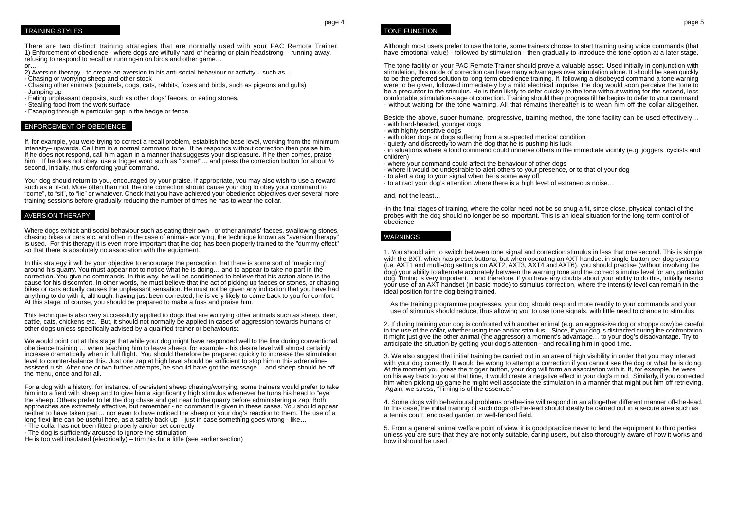#### TRAINING STYLES

There are two distinct training strategies that are normally used with your PAC Remote Trainer. 1) Enforcement of obedience - where dogs are wilfully hard-of-hearing or plain headstrong - running away, refusing to respond to recall or running-in on birds and other game...

or…

- 2) Aversion therapy to create an aversion to his anti-social behaviour or activity such as…
- · Chasing or worrying sheep and other stock
- · Chasing other animals (squirrels, dogs, cats, rabbits, foxes and birds, such as pigeons and gulls) · Jumping up
- · Eating unpleasant deposits, such as other dogs' faeces, or eating stones.
- · Stealing food from the work surface
- · Escaping through a particular gap in the hedge or fence.

# ENFORCEMENT OF OBEDIENCE

If, for example, you were trying to correct a recall problem, establish the base level, working from the minimum intensity– upwards. Call him in a normal command tone. If he responds without correction then praise him. If he does not respond, call him again in a manner that suggests your displeasure. If he then comes, praise him. If he does not obey, use a trigger word such as "come!"... and press the correction button for about  $\frac{1}{2}$ second, initially, thus enforcing your command.

Your dog should return to you, encouraged by your praise. If appropriate, you may also wish to use a reward such as a tit-bit. More often than not, the one correction should cause your dog to obey your command to "come", to "sit", to "lie" or whatever. Check that you have achieved your obedience objectives over several more training sessions before gradually reducing the number of times he has to wear the collar.

#### AVERSION THERAPY

Where dogs exhibit anti-social behaviour such as eating their own-, or other animals'-faeces, swallowing stones, chasing bikes or cars etc. and often in the case of animal- worrying, the technique known as "aversion therapy" is used. For this therapy it is even more important that the dog has been properly trained to the "dummy effect" so that there is absolutely no association with the equipment.

In this strategy it will be your objective to encourage the perception that there is some sort of "magic ring" around his quarry. You must appear not to notice what he is doing… and to appear to take no part in the correction. You give no commands. In this way, he will be conditioned to believe that his action alone is the cause for his discomfort. In other words, he must believe that the act of picking up faeces or stones, or chasing bikes or cars actually causes the unpleasant sensation. He must not be given any indication that you have had anything to do with it, although, having just been corrected, he is very likely to come back to you for comfort. At this stage, of course, you should be prepared to make a fuss and praise him.

This technique is also very successfully applied to dogs that are worrying other animals such as sheep, deer, cattle, cats, chickens etc. But, it should not normally be applied in cases of aggression towards humans or other dogs unless specifically advised by a qualified trainer or behaviourist.

We would point out at this stage that while your dog might have responded well to the line during conventional, obedience training … when teaching him to leave sheep, for example - his desire level will almost certainly increase dramatically when in full flight. You should therefore be prepared quickly to increase the stimulation level to counter-balance this. Just one zap at high level should be sufficient to stop him in this adrenalineassisted rush. After one or two further attempts, he should have got the message… and sheep should be off the menu, once and for all.

For a dog with a history, for instance, of persistent sheep chasing/worrying, some trainers would prefer to take him into a field with sheep and to give him a significantly high stimulus whenever he turns his head to "eye" the sheep. Others prefer to let the dog chase and get near to the quarry before administering a zap. Both approaches are extremely effective, but remember - no command is given in these cases. You should appear neither to have taken part… nor even to have noticed the sheep or your dog's reaction to them. The use of a long flexi-line can be useful here, as a safety back up – just in case something goes wrong - like...

- · The collar has not been fitted properly and/or set correctly
- · The dog is sufficiently aroused to ignore the stimulation

He is too well insulated (electrically) – trim his fur a little (see earlier section)

page 4

Although most users prefer to use the tone, some trainers choose to start training using voice commands (that have emotional value) - followed by stimulation - then gradually to introduce the tone option at a later stage.

The tone facility on your PAC Remote Trainer should prove a valuable asset. Used initially in conjunction with stimulation, this mode of correction can have many advantages over stimulation alone. It should be seen quickly to be the preferred solution to long-term obedience training. If, following a disobeyed command a tone warning were to be given, followed immediately by a mild electrical impulse, the dog would soon perceive the tone to be a precursor to the stimulus. He is then likely to defer quickly to the tone without waiting for the second, less comfortable, stimulation-stage of correction. Training should then progress till he begins to defer to your command - without waiting for the tone warning. All that remains thereafter is to wean him off the collar altogether.

Beside the above, super-humane, progressive, training method, the tone facility can be used effectively… · with hard-headed, younger dogs

- · with highly sensitive dogs
- · with older dogs or dogs suffering from a suspected medical condition
- · quietly and discreetly to warn the dog that he is pushing his luck

· in situations where a loud command could unnerve others in the immediate vicinity (e.g. joggers, cyclists and children)

- $\cdot$  where your command could affect the behaviour of other dogs
- · where it would be undesirable to alert others to your presence, or to that of your dog
- · to alert a dog to your signal when he is some way off
- · to attract your dog's attention where there is a high level of extraneous noise…

#### and, not the least…

·in the final stages of training, where the collar need not be so snug a fit, since close, physical contact of the probes with the dog should no longer be so important. This is an ideal situation for the long-term control of obedience

#### WARNINGS

1. You should aim to switch between tone signal and correction stimulus in less that one second. This is simple with the BXT, which has preset buttons, but when operating an AXT handset in single-button-per-dog systems (i.e. AXT1 and multi-dog settings on AXT2, AXT3, AXT4 and AXT6), you should practise (without involving the dog) your ability to alternate accurately between the warning tone and the correct stimulus level for any particular dog. Timing is very important… and therefore, if you have any doubts about your ability to do this, initially restrict your use of an AXT handset (in basic mode) to stimulus correction, where the intensity level can remain in the ideal position for the dog being trained.

As the training programme progresses, your dog should respond more readily to your commands and your use of stimulus should reduce, thus allowing you to use tone signals, with little need to change to stimulus.

2. If during training your dog is confronted with another animal (e.g. an aggressive dog or stroppy cow) be careful in the use of the collar, whether using tone and/or stimulus... Since, if your dog is distracted during the confrontation, it might just give the other animal (the aggressor) a moment's advantage… to your dog's disadvantage. Try to anticipate the situation by getting your dog's attention - and recalling him in good time.

3. We also suggest that initial training be carried out in an area of high visibility in order that you may interact with your dog correctly. It would be wrong to attempt a correction if you cannot see the dog or what he is doing. At the moment you press the trigger button, your dog will form an association with it. If, for example, he were on his way back to you at that time, it would create a negative effect in your dog's mind. Similarly, if you corrected him when picking up game he might well associate the stimulation in a manner that might put him off retrieving. Again, we stress, "Timing is of the essence."

4. Some dogs with behavioural problems on-the-line will respond in an altogether different manner off-the-lead. In this case, the initial training of such dogs off-the-lead should ideally be carried out in a secure area such as a tennis court, enclosed garden or well-fenced field.

5. From a general animal welfare point of view, it is good practice never to lend the equipment to third parties unless you are sure that they are not only suitable, caring users, but also thoroughly aware of how it works and how it should be used.